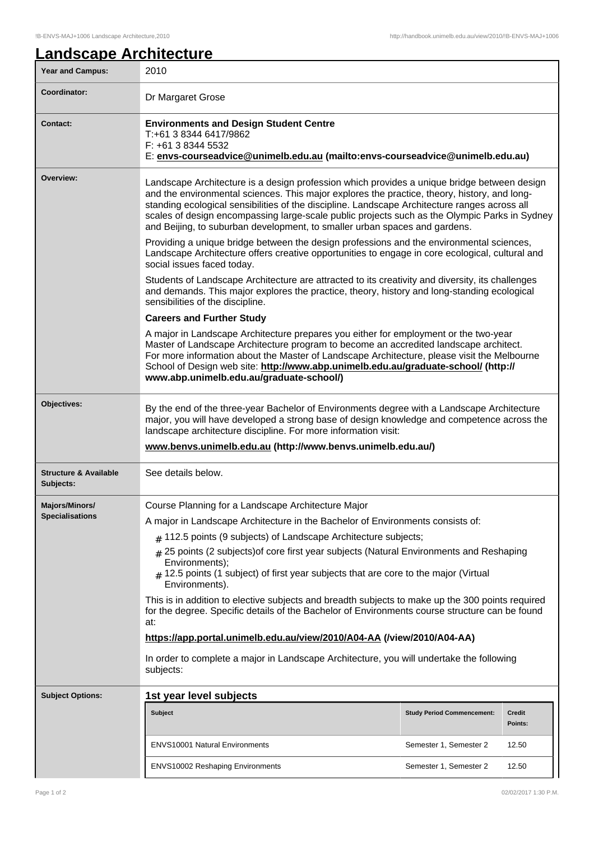## **Landscape Architecture** Year and Campus: 2010 **Coordinator:** Dr Margaret Grose **Contact: Environments and Design Student Centre** T:+61 3 8344 6417/9862 F: +61 3 8344 5532 E: **envs-courseadvice@unimelb.edu.au (mailto:envs-courseadvice@unimelb.edu.au) Overview:** Landscape Architecture is a design profession which provides a unique bridge between design and the environmental sciences. This major explores the practice, theory, history, and longstanding ecological sensibilities of the discipline. Landscape Architecture ranges across all scales of design encompassing large-scale public projects such as the Olympic Parks in Sydney and Beijing, to suburban development, to smaller urban spaces and gardens. Providing a unique bridge between the design professions and the environmental sciences, Landscape Architecture offers creative opportunities to engage in core ecological, cultural and social issues faced today. Students of Landscape Architecture are attracted to its creativity and diversity, its challenges and demands. This major explores the practice, theory, history and long-standing ecological sensibilities of the discipline. **Careers and Further Study** A major in Landscape Architecture prepares you either for employment or the two-year Master of Landscape Architecture program to become an accredited landscape architect. For more information about the Master of Landscape Architecture, please visit the Melbourne School of Design web site: **http://www.abp.unimelb.edu.au/graduate-school/ (http:// www.abp.unimelb.edu.au/graduate-school/) Objectives:** By the end of the three-year Bachelor of Environments degree with a Landscape Architecture major, you will have developed a strong base of design knowledge and competence across the landscape architecture discipline. For more information visit: **www.benvs.unimelb.edu.au (http://www.benvs.unimelb.edu.au/) Structure & Available Subjects:** See details below. **Majors/Minors/ Specialisations** Course Planning for a Landscape Architecture Major A major in Landscape Architecture in the Bachelor of Environments consists of:  $#$  112.5 points (9 subjects) of Landscape Architecture subjects; # 25 points (2 subjects)of core first year subjects (Natural Environments and Reshaping Environments);  $_4$  12.5 points (1 subject) of first year subjects that are core to the major (Virtual Environments). This is in addition to elective subjects and breadth subjects to make up the 300 points required for the degree. Specific details of the Bachelor of Environments course structure can be found at: **https://app.portal.unimelb.edu.au/view/2010/A04-AA (/view/2010/A04-AA)** In order to complete a major in Landscape Architecture, you will undertake the following subjects: **Subject Options: 1st year level subjects Subject Study Period Commencement: Credit Points:** ENVS10001 Natural Environments **Semester 1, Semester 2** 12.50 ENVS10002 Reshaping Environments Semester 1, Semester 2 12.50